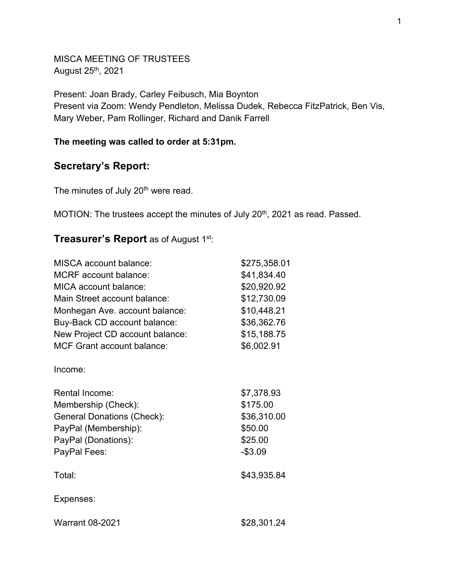MISCA MEETING OF TRUSTEES August 25th, 2021

Present: Joan Brady, Carley Feibusch, Mia Boynton Present via Zoom: Wendy Pendleton, Melissa Dudek, Rebecca FitzPatrick, Ben Vis, Mary Weber, Pam Rollinger, Richard and Danik Farrell

## **The meeting was called to order at 5:31pm.**

# **Secretary's Report:**

The minutes of July 20<sup>th</sup> were read.

MOTION: The trustees accept the minutes of July 20<sup>th</sup>, 2021 as read. Passed.

# **Treasurer's Report** as of August 1st:

| <b>MISCA</b> account balance:     | \$275,358.01 |
|-----------------------------------|--------------|
| <b>MCRF</b> account balance:      | \$41,834.40  |
| MICA account balance:             | \$20,920.92  |
| Main Street account balance:      | \$12,730.09  |
| Monhegan Ave. account balance:    | \$10,448.21  |
| Buy-Back CD account balance:      | \$36,362.76  |
| New Project CD account balance:   | \$15,188.75  |
| <b>MCF Grant account balance:</b> | \$6,002.91   |
| Income:                           |              |
| <b>Rental Income:</b>             | \$7,378.93   |
| Membership (Check):               | \$175.00     |
| <b>General Donations (Check):</b> | \$36,310.00  |
| PayPal (Membership):              | \$50.00      |
| PayPal (Donations):               | \$25.00      |
| PayPal Fees:                      | $- $3.09$    |
| Total:                            | \$43,935.84  |
| Expenses:                         |              |
| <b>Warrant 08-2021</b>            | \$28,301.24  |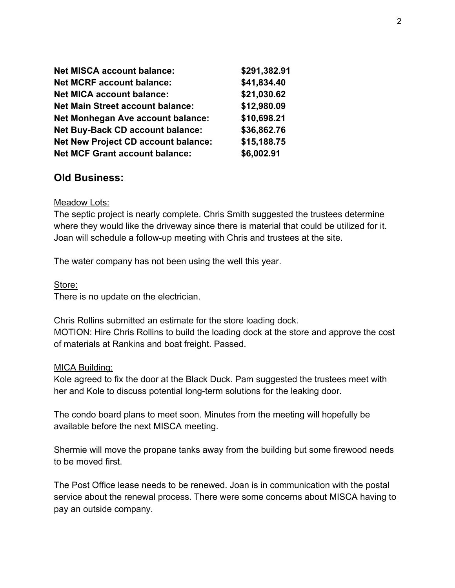| <b>Net MISCA account balance:</b>          | \$291,382.91 |
|--------------------------------------------|--------------|
| <b>Net MCRF account balance:</b>           | \$41,834.40  |
| <b>Net MICA account balance:</b>           | \$21,030.62  |
| <b>Net Main Street account balance:</b>    | \$12,980.09  |
| <b>Net Monhegan Ave account balance:</b>   | \$10,698.21  |
| <b>Net Buy-Back CD account balance:</b>    | \$36,862.76  |
| <b>Net New Project CD account balance:</b> | \$15,188.75  |
| <b>Net MCF Grant account balance:</b>      | \$6,002.91   |

# **Old Business:**

#### Meadow Lots:

The septic project is nearly complete. Chris Smith suggested the trustees determine where they would like the driveway since there is material that could be utilized for it. Joan will schedule a follow-up meeting with Chris and trustees at the site.

The water company has not been using the well this year.

#### Store:

There is no update on the electrician.

Chris Rollins submitted an estimate for the store loading dock. MOTION: Hire Chris Rollins to build the loading dock at the store and approve the cost of materials at Rankins and boat freight. Passed.

#### MICA Building:

Kole agreed to fix the door at the Black Duck. Pam suggested the trustees meet with her and Kole to discuss potential long-term solutions for the leaking door.

The condo board plans to meet soon. Minutes from the meeting will hopefully be available before the next MISCA meeting.

Shermie will move the propane tanks away from the building but some firewood needs to be moved first.

The Post Office lease needs to be renewed. Joan is in communication with the postal service about the renewal process. There were some concerns about MISCA having to pay an outside company.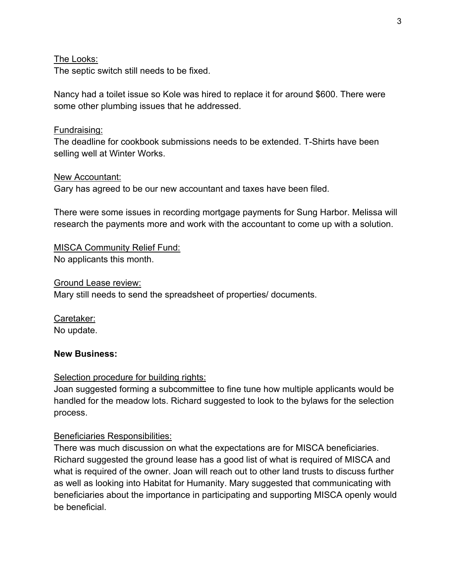## The Looks:

The septic switch still needs to be fixed.

Nancy had a toilet issue so Kole was hired to replace it for around \$600. There were some other plumbing issues that he addressed.

### Fundraising:

The deadline for cookbook submissions needs to be extended. T-Shirts have been selling well at Winter Works.

### New Accountant:

Gary has agreed to be our new accountant and taxes have been filed.

There were some issues in recording mortgage payments for Sung Harbor. Melissa will research the payments more and work with the accountant to come up with a solution.

MISCA Community Relief Fund: No applicants this month.

Ground Lease review:

Mary still needs to send the spreadsheet of properties/ documents.

Caretaker: No update.

#### **New Business:**

## Selection procedure for building rights:

Joan suggested forming a subcommittee to fine tune how multiple applicants would be handled for the meadow lots. Richard suggested to look to the bylaws for the selection process.

## Beneficiaries Responsibilities:

There was much discussion on what the expectations are for MISCA beneficiaries. Richard suggested the ground lease has a good list of what is required of MISCA and what is required of the owner. Joan will reach out to other land trusts to discuss further as well as looking into Habitat for Humanity. Mary suggested that communicating with beneficiaries about the importance in participating and supporting MISCA openly would be beneficial.